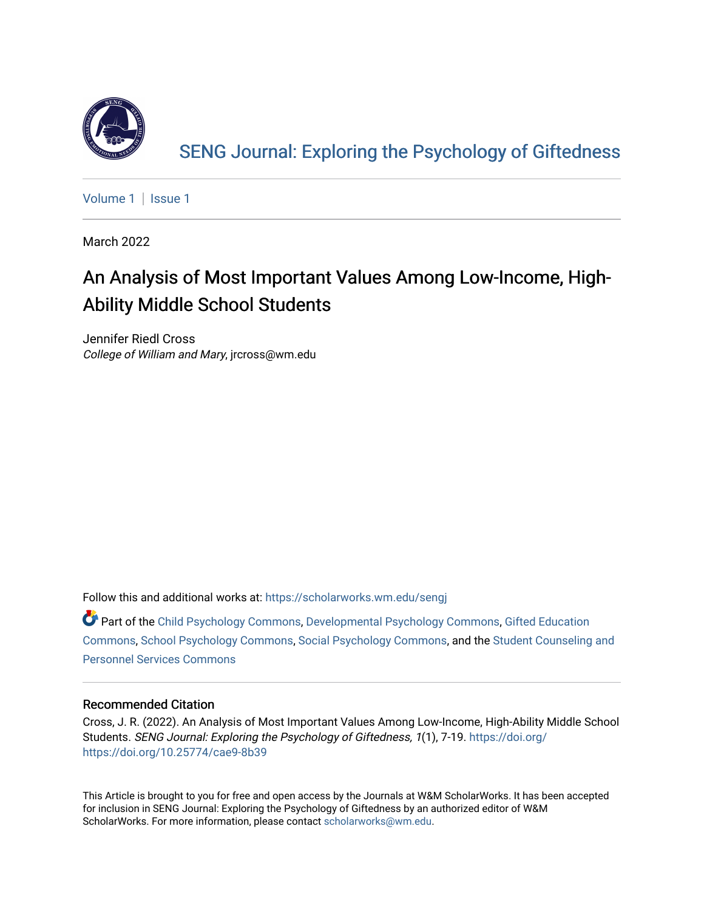

[SENG Journal: Exploring the Psychology of Giftedness](https://scholarworks.wm.edu/sengj) 

[Volume 1](https://scholarworks.wm.edu/sengj/vol1) | Issue 1

March 2022

## An Analysis of Most Important Values Among Low-Income, High-Ability Middle School Students

Jennifer Riedl Cross College of William and Mary, jrcross@wm.edu

Follow this and additional works at: [https://scholarworks.wm.edu/sengj](https://scholarworks.wm.edu/sengj?utm_source=scholarworks.wm.edu%2Fsengj%2Fvol1%2Fiss1%2F4&utm_medium=PDF&utm_campaign=PDFCoverPages)

Part of the [Child Psychology Commons,](http://network.bepress.com/hgg/discipline/1023?utm_source=scholarworks.wm.edu%2Fsengj%2Fvol1%2Fiss1%2F4&utm_medium=PDF&utm_campaign=PDFCoverPages) [Developmental Psychology Commons,](http://network.bepress.com/hgg/discipline/410?utm_source=scholarworks.wm.edu%2Fsengj%2Fvol1%2Fiss1%2F4&utm_medium=PDF&utm_campaign=PDFCoverPages) [Gifted Education](http://network.bepress.com/hgg/discipline/1048?utm_source=scholarworks.wm.edu%2Fsengj%2Fvol1%2Fiss1%2F4&utm_medium=PDF&utm_campaign=PDFCoverPages)  [Commons](http://network.bepress.com/hgg/discipline/1048?utm_source=scholarworks.wm.edu%2Fsengj%2Fvol1%2Fiss1%2F4&utm_medium=PDF&utm_campaign=PDFCoverPages), [School Psychology Commons](http://network.bepress.com/hgg/discipline/1072?utm_source=scholarworks.wm.edu%2Fsengj%2Fvol1%2Fiss1%2F4&utm_medium=PDF&utm_campaign=PDFCoverPages), [Social Psychology Commons,](http://network.bepress.com/hgg/discipline/414?utm_source=scholarworks.wm.edu%2Fsengj%2Fvol1%2Fiss1%2F4&utm_medium=PDF&utm_campaign=PDFCoverPages) and the [Student Counseling and](http://network.bepress.com/hgg/discipline/802?utm_source=scholarworks.wm.edu%2Fsengj%2Fvol1%2Fiss1%2F4&utm_medium=PDF&utm_campaign=PDFCoverPages)  [Personnel Services Commons](http://network.bepress.com/hgg/discipline/802?utm_source=scholarworks.wm.edu%2Fsengj%2Fvol1%2Fiss1%2F4&utm_medium=PDF&utm_campaign=PDFCoverPages)

### Recommended Citation

Cross, J. R. (2022). An Analysis of Most Important Values Among Low-Income, High-Ability Middle School Students. SENG Journal: Exploring the Psychology of Giftedness, 1(1), 7-19. [https://doi.org/](https://doi.org/https://doi.org/10.25774/cae9-8b39) [https://doi.org/10.25774/cae9-8b39](https://doi.org/https://doi.org/10.25774/cae9-8b39)

This Article is brought to you for free and open access by the Journals at W&M ScholarWorks. It has been accepted for inclusion in SENG Journal: Exploring the Psychology of Giftedness by an authorized editor of W&M ScholarWorks. For more information, please contact [scholarworks@wm.edu.](mailto:scholarworks@wm.edu)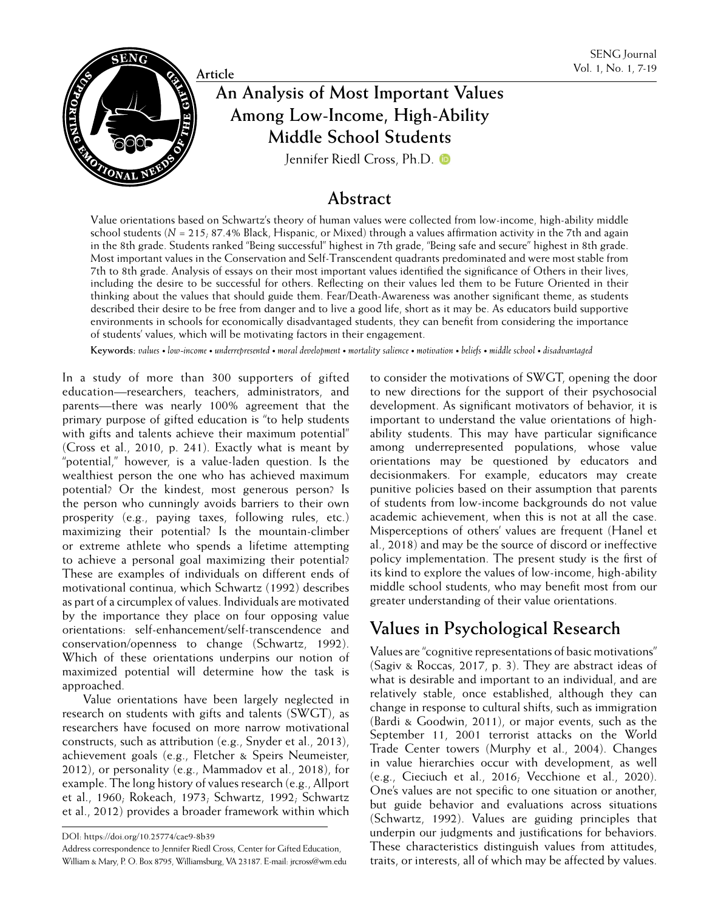

# **An Analysis of Most Important Values** Vol. 1, No. 1, 7-19 **Among Low-Income, High-Ability Middle School Students**

[Jennifer Riedl Cross, Ph.D.](https://orcid.org/0000-0002-7133-8792)

### **Abstract**

Value orientations based on Schwartz's theory of human values were collected from low-income, high-ability middle school students (*N* = 215; 87.4% Black, Hispanic, or Mixed) through a values affirmation activity in the 7th and again in the 8th grade. Students ranked "Being successful" highest in 7th grade, "Being safe and secure" highest in 8th grade. Most important values in the Conservation and Self-Transcendent quadrants predominated and were most stable from 7th to 8th grade. Analysis of essays on their most important values identified the significance of Others in their lives, including the desire to be successful for others. Reflecting on their values led them to be Future Oriented in their thinking about the values that should guide them. Fear/Death-Awareness was another significant theme, as students described their desire to be free from danger and to live a good life, short as it may be. As educators build supportive environments in schools for economically disadvantaged students, they can benefit from considering the importance of students' values, which will be motivating factors in their engagement.

**Keywords:** *values • low-income • underrepresented • moral development • mortality salience • motivation • beliefs • middle school • disadvantaged*

In a study of more than 300 supporters of gifted education—researchers, teachers, administrators, and parents—there was nearly 100% agreement that the primary purpose of gifted education is "to help students with gifts and talents achieve their maximum potential" (Cross et al., 2010, p. 241). Exactly what is meant by "potential," however, is a value-laden question. Is the wealthiest person the one who has achieved maximum potential? Or the kindest, most generous person? Is the person who cunningly avoids barriers to their own prosperity (e.g., paying taxes, following rules, etc.) maximizing their potential? Is the mountain-climber or extreme athlete who spends a lifetime attempting to achieve a personal goal maximizing their potential? These are examples of individuals on different ends of motivational continua, which Schwartz (1992) describes as part of a circumplex of values. Individuals are motivated by the importance they place on four opposing value orientations: self-enhancement/self-transcendence and conservation/openness to change (Schwartz, 1992). Which of these orientations underpins our notion of maximized potential will determine how the task is approached.

Value orientations have been largely neglected in research on students with gifts and talents (SWGT), as researchers have focused on more narrow motivational constructs, such as attribution (e.g., Snyder et al., 2013), achievement goals (e.g., Fletcher & Speirs Neumeister, 2012), or personality (e.g., Mammadov et al., 2018), for example. The long history of values research (e.g., Allport et al., 1960; Rokeach, 1973; Schwartz, 1992; Schwartz et al., 2012) provides a broader framework within which

Address correspondence to Jennifer Riedl Cross, Center for Gifted Education, William & Mary, P. O. Box 8795, Williamsburg, VA 23187. E-mail: jrcross@wm.edu

to consider the motivations of SWGT, opening the door to new directions for the support of their psychosocial development. As significant motivators of behavior, it is important to understand the value orientations of highability students. This may have particular significance among underrepresented populations, whose value orientations may be questioned by educators and decisionmakers. For example, educators may create punitive policies based on their assumption that parents of students from low-income backgrounds do not value academic achievement, when this is not at all the case. Misperceptions of others' values are frequent (Hanel et al., 2018) and may be the source of discord or ineffective policy implementation. The present study is the first of its kind to explore the values of low-income, high-ability middle school students, who may benefit most from our greater understanding of their value orientations.

## **Values in Psychological Research**

Values are "cognitive representations of basic motivations" (Sagiv & Roccas, 2017, p. 3). They are abstract ideas of what is desirable and important to an individual, and are relatively stable, once established, although they can change in response to cultural shifts, such as immigration (Bardi & Goodwin, 2011), or major events, such as the September 11, 2001 terrorist attacks on the World Trade Center towers (Murphy et al., 2004). Changes in value hierarchies occur with development, as well (e.g., Cieciuch et al., 2016; Vecchione et al., 2020). One's values are not specific to one situation or another, but guide behavior and evaluations across situations (Schwartz, 1992). Values are guiding principles that underpin our judgments and justifications for behaviors. These characteristics distinguish values from attitudes, traits, or interests, all of which may be affected by values.

DOI: https://doi.org/10.25774/cae9-8b39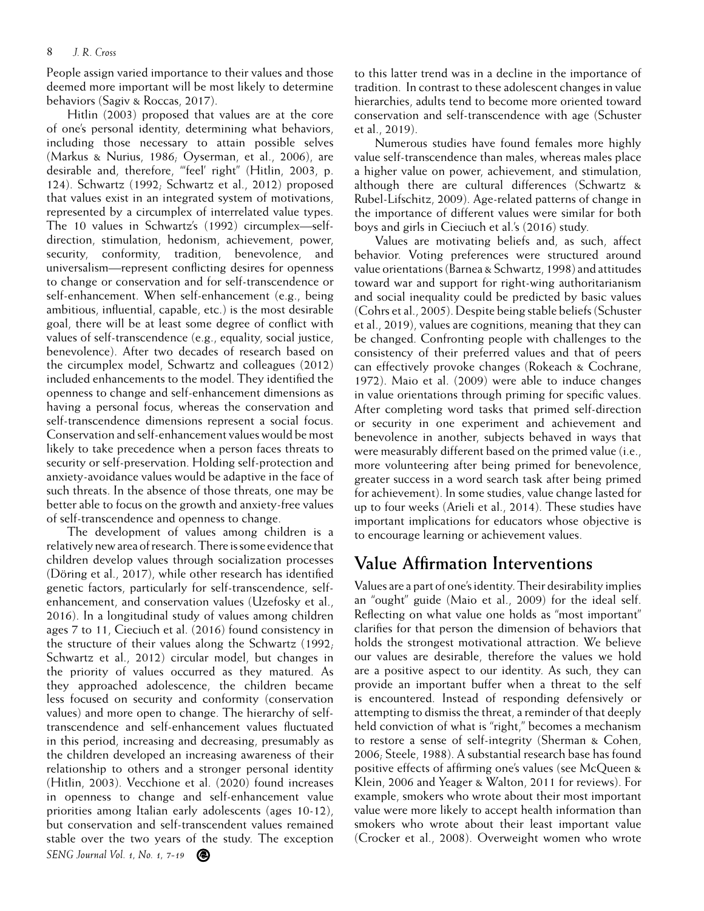People assign varied importance to their values and those deemed more important will be most likely to determine behaviors (Sagiv & Roccas, 2017).

Hitlin (2003) proposed that values are at the core of one's personal identity, determining what behaviors, including those necessary to attain possible selves (Markus & Nurius, 1986; Oyserman, et al., 2006), are desirable and, therefore, "'feel' right" (Hitlin, 2003, p. 124). Schwartz (1992; Schwartz et al., 2012) proposed that values exist in an integrated system of motivations, represented by a circumplex of interrelated value types. The 10 values in Schwartz's (1992) circumplex—selfdirection, stimulation, hedonism, achievement, power, security, conformity, tradition, benevolence, and universalism—represent conflicting desires for openness to change or conservation and for self-transcendence or self-enhancement. When self-enhancement (e.g., being ambitious, influential, capable, etc.) is the most desirable goal, there will be at least some degree of conflict with values of self-transcendence (e.g., equality, social justice, benevolence). After two decades of research based on the circumplex model, Schwartz and colleagues (2012) included enhancements to the model. They identified the openness to change and self-enhancement dimensions as having a personal focus, whereas the conservation and self-transcendence dimensions represent a social focus. Conservation and self-enhancement values would be most likely to take precedence when a person faces threats to security or self-preservation. Holding self-protection and anxiety-avoidance values would be adaptive in the face of such threats. In the absence of those threats, one may be better able to focus on the growth and anxiety-free values of self-transcendence and openness to change.

*SENG Journal Vol. 1, No. 1, 7-19* The development of values among children is a relatively new area of research. There is some evidence that children develop values through socialization processes (Döring et al., 2017), while other research has identified genetic factors, particularly for self-transcendence, selfenhancement, and conservation values (Uzefosky et al., 2016). In a longitudinal study of values among children ages 7 to 11, Cieciuch et al. (2016) found consistency in the structure of their values along the Schwartz  $(1992)$ ; Schwartz et al., 2012) circular model, but changes in the priority of values occurred as they matured. As they approached adolescence, the children became less focused on security and conformity (conservation values) and more open to change. The hierarchy of selftranscendence and self-enhancement values fluctuated in this period, increasing and decreasing, presumably as the children developed an increasing awareness of their relationship to others and a stronger personal identity (Hitlin, 2003). Vecchione et al. (2020) found increases in openness to change and self-enhancement value priorities among Italian early adolescents (ages 10-12), but conservation and self-transcendent values remained stable over the two years of the study. The exception

to this latter trend was in a decline in the importance of tradition. In contrast to these adolescent changes in value hierarchies, adults tend to become more oriented toward conservation and self-transcendence with age (Schuster et al., 2019).

Numerous studies have found females more highly value self-transcendence than males, whereas males place a higher value on power, achievement, and stimulation, although there are cultural differences (Schwartz & Rubel-Lifschitz, 2009). Age-related patterns of change in the importance of different values were similar for both boys and girls in Cieciuch et al.'s (2016) study.

Values are motivating beliefs and, as such, affect behavior. Voting preferences were structured around value orientations (Barnea & Schwartz, 1998) and attitudes toward war and support for right-wing authoritarianism and social inequality could be predicted by basic values (Cohrs et al., 2005). Despite being stable beliefs (Schuster et al., 2019), values are cognitions, meaning that they can be changed. Confronting people with challenges to the consistency of their preferred values and that of peers can effectively provoke changes (Rokeach & Cochrane, 1972). Maio et al. (2009) were able to induce changes in value orientations through priming for specific values. After completing word tasks that primed self-direction or security in one experiment and achievement and benevolence in another, subjects behaved in ways that were measurably different based on the primed value (i.e., more volunteering after being primed for benevolence, greater success in a word search task after being primed for achievement). In some studies, value change lasted for up to four weeks (Arieli et al., 2014). These studies have important implications for educators whose objective is to encourage learning or achievement values.

### **Value Affirmation Interventions**

Values are a part of one's identity. Their desirability implies an "ought" guide (Maio et al., 2009) for the ideal self. Reflecting on what value one holds as "most important" clarifies for that person the dimension of behaviors that holds the strongest motivational attraction. We believe our values are desirable, therefore the values we hold are a positive aspect to our identity. As such, they can provide an important buffer when a threat to the self is encountered. Instead of responding defensively or attempting to dismiss the threat, a reminder of that deeply held conviction of what is "right," becomes a mechanism to restore a sense of self-integrity (Sherman & Cohen, 2006; Steele, 1988). A substantial research base has found positive effects of affirming one's values (see McQueen & Klein, 2006 and Yeager & Walton, 2011 for reviews). For example, smokers who wrote about their most important value were more likely to accept health information than smokers who wrote about their least important value (Crocker et al., 2008). Overweight women who wrote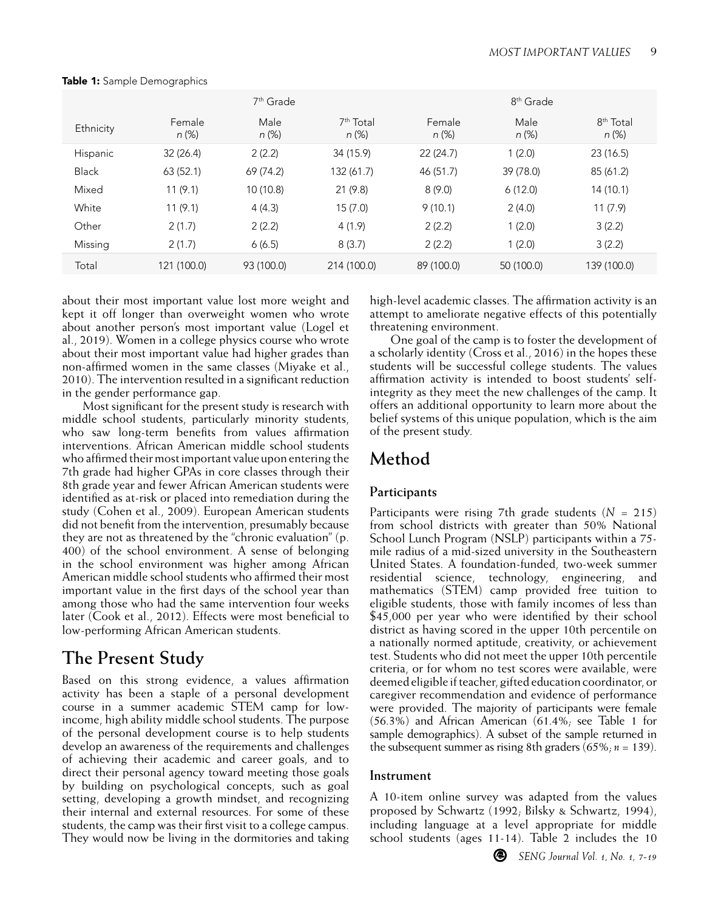|              | 7 <sup>th</sup> Grade |                  |                                   | 8 <sup>th</sup> Grade |               |                                |  |
|--------------|-----------------------|------------------|-----------------------------------|-----------------------|---------------|--------------------------------|--|
| Ethnicity    | Female<br>n (%)       | Male<br>$n (\%)$ | 7 <sup>th</sup> Total<br>$n (\%)$ | Female<br>$n (\%)$    | Male<br>n (%) | 8 <sup>th</sup> Total<br>n (%) |  |
| Hispanic     | 32(26.4)              | 2(2.2)           | 34 (15.9)                         | 22(24.7)              | 1(2.0)        | 23(16.5)                       |  |
| <b>Black</b> | 63(52.1)              | 69 (74.2)        | 132 (61.7)                        | 46 (51.7)             | 39 (78.0)     | 85 (61.2)                      |  |
| Mixed        | 11(9.1)               | 10 (10.8)        | 21 (9.8)                          | 8(9.0)                | 6(12.0)       | 14 (10.1)                      |  |
| White        | 11(9.1)               | 4(4.3)           | 15(7.0)                           | 9(10.1)               | 2(4.0)        | 11(7.9)                        |  |
| Other        | 2(1.7)                | 2(2.2)           | 4(1.9)                            | 2(2.2)                | 1(2.0)        | 3(2.2)                         |  |
| Missina      | 2(1.7)                | 6(6.5)           | 8(3.7)                            | 2(2.2)                | 1(2.0)        | 3(2.2)                         |  |
| Total        | 121 (100.0)           | 93 (100.0)       | 214 (100.0)                       | 89 (100.0)            | 50 (100.0)    | 139 (100.0)                    |  |

Table 1: Sample Demographics

about their most important value lost more weight and kept it off longer than overweight women who wrote about another person's most important value (Logel et al., 2019). Women in a college physics course who wrote about their most important value had higher grades than non-affirmed women in the same classes (Miyake et al., 2010). The intervention resulted in a significant reduction in the gender performance gap.

Most significant for the present study is research with middle school students, particularly minority students, who saw long-term benefits from values affirmation interventions. African American middle school students who affirmed their most important value upon entering the 7th grade had higher GPAs in core classes through their 8th grade year and fewer African American students were identified as at-risk or placed into remediation during the study (Cohen et al., 2009). European American students did not benefit from the intervention, presumably because they are not as threatened by the "chronic evaluation" (p. 400) of the school environment. A sense of belonging in the school environment was higher among African American middle school students who affirmed their most important value in the first days of the school year than among those who had the same intervention four weeks later (Cook et al., 2012). Effects were most beneficial to low-performing African American students.

## **The Present Study**

Based on this strong evidence, a values affirmation activity has been a staple of a personal development course in a summer academic STEM camp for lowincome, high ability middle school students. The purpose of the personal development course is to help students develop an awareness of the requirements and challenges of achieving their academic and career goals, and to direct their personal agency toward meeting those goals by building on psychological concepts, such as goal setting, developing a growth mindset, and recognizing their internal and external resources. For some of these students, the camp was their first visit to a college campus. They would now be living in the dormitories and taking high-level academic classes. The affirmation activity is an attempt to ameliorate negative effects of this potentially threatening environment.

One goal of the camp is to foster the development of a scholarly identity (Cross et al., 2016) in the hopes these students will be successful college students. The values affirmation activity is intended to boost students' selfintegrity as they meet the new challenges of the camp. It offers an additional opportunity to learn more about the belief systems of this unique population, which is the aim of the present study.

## **Method**

### **Participants**

Participants were rising 7th grade students (*N* = 215) from school districts with greater than 50% National School Lunch Program (NSLP) participants within a 75 mile radius of a mid-sized university in the Southeastern United States. A foundation-funded, two-week summer residential science, technology, engineering, and mathematics (STEM) camp provided free tuition to eligible students, those with family incomes of less than \$45,000 per year who were identified by their school district as having scored in the upper 10th percentile on a nationally normed aptitude, creativity, or achievement test. Students who did not meet the upper 10th percentile criteria, or for whom no test scores were available, were deemed eligible if teacher, gifted education coordinator, or caregiver recommendation and evidence of performance were provided. The majority of participants were female (56.3%) and African American (61.4%; see Table 1 for sample demographics). A subset of the sample returned in the subsequent summer as rising 8th graders (65%; *n* = 139).

### **Instrument**

A 10-item online survey was adapted from the values proposed by Schwartz (1992; Bilsky & Schwartz, 1994), including language at a level appropriate for middle school students (ages 11-14). Table 2 includes the 10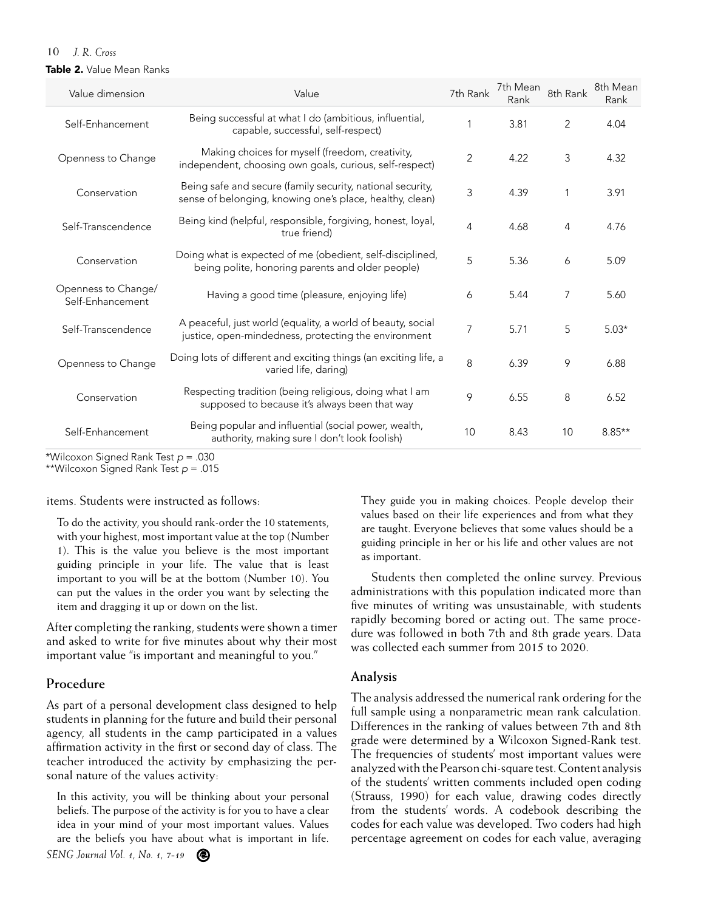#### Table 2. Value Mean Ranks

| Value dimension                         | Value                                                                                                                  | 7th Rank       | 7th Mean<br>Rank | 8th Rank | 8th Mean<br>Rank |
|-----------------------------------------|------------------------------------------------------------------------------------------------------------------------|----------------|------------------|----------|------------------|
| Self-Enhancement                        | Being successful at what I do (ambitious, influential,<br>capable, successful, self-respect)                           |                | 3.81             | 2        | 4.04             |
| Openness to Change                      | Making choices for myself (freedom, creativity,<br>independent, choosing own goals, curious, self-respect)             | $\overline{2}$ | 4.22             | 3        | 4.32             |
| Conservation                            | Being safe and secure (family security, national security,<br>sense of belonging, knowing one's place, healthy, clean) | 3              | 4.39             | 1        | 3.91             |
| Self-Transcendence                      | Being kind (helpful, responsible, forgiving, honest, loyal,<br>true friend)                                            | 4              | 4.68             | 4        | 4.76             |
| Conservation                            | Doing what is expected of me (obedient, self-disciplined,<br>being polite, honoring parents and older people)          | 5              | 5.36             | 6        | 5.09             |
| Openness to Change/<br>Self-Enhancement | Having a good time (pleasure, enjoying life)                                                                           | 6              | 5.44             | 7        | 5.60             |
| Self-Transcendence                      | A peaceful, just world (equality, a world of beauty, social<br>justice, open-mindedness, protecting the environment    | 7              | 5.71             | 5        | $5.03*$          |
| Openness to Change                      | Doing lots of different and exciting things (an exciting life, a<br>varied life, daring)                               | 8              | 6.39             | 9        | 6.88             |
| Conservation                            | Respecting tradition (being religious, doing what I am<br>supposed to because it's always been that way                | 9              | 6.55             | 8        | 6.52             |
| Self-Enhancement                        | Being popular and influential (social power, wealth,<br>authority, making sure I don't look foolish)                   | 10             | 8.43             | 10       | $8.85**$         |

\*Wilcoxon Signed Rank Test *p* = .030

\*\*Wilcoxon Signed Rank Test *p* = .015

#### items. Students were instructed as follows:

To do the activity, you should rank-order the 10 statements, with your highest, most important value at the top (Number 1). This is the value you believe is the most important guiding principle in your life. The value that is least important to you will be at the bottom (Number 10). You can put the values in the order you want by selecting the item and dragging it up or down on the list.

After completing the ranking, students were shown a timer and asked to write for five minutes about why their most important value "is important and meaningful to you."

#### **Procedure**

As part of a personal development class designed to help students in planning for the future and build their personal agency, all students in the camp participated in a values affirmation activity in the first or second day of class. The teacher introduced the activity by emphasizing the personal nature of the values activity:

In this activity, you will be thinking about your personal beliefs. The purpose of the activity is for you to have a clear idea in your mind of your most important values. Values are the beliefs you have about what is important in life.

They guide you in making choices. People develop their values based on their life experiences and from what they are taught. Everyone believes that some values should be a guiding principle in her or his life and other values are not as important.

Students then completed the online survey. Previous administrations with this population indicated more than five minutes of writing was unsustainable, with students rapidly becoming bored or acting out. The same procedure was followed in both 7th and 8th grade years. Data was collected each summer from 2015 to 2020.

#### **Analysis**

The analysis addressed the numerical rank ordering for the full sample using a nonparametric mean rank calculation. Differences in the ranking of values between 7th and 8th grade were determined by a Wilcoxon Signed-Rank test. The frequencies of students' most important values were analyzed with the Pearson chi-square test. Content analysis of the students' written comments included open coding (Strauss, 1990) for each value, drawing codes directly from the students' words. A codebook describing the codes for each value was developed. Two coders had high percentage agreement on codes for each value, averaging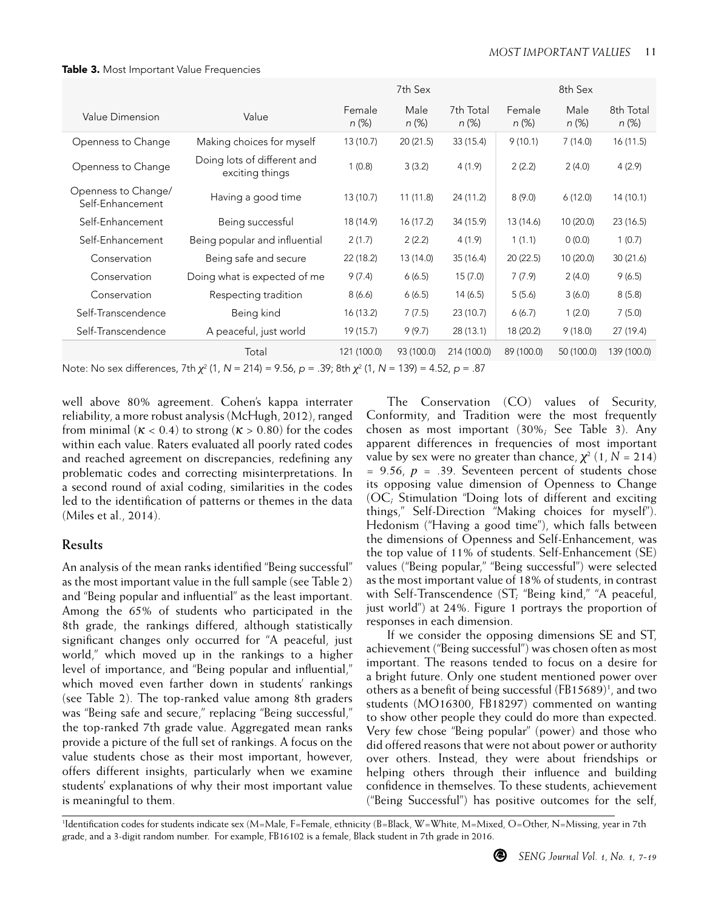|                                         |                                                |                    | 7th Sex       |                       |                    | 8th Sex          |                       |
|-----------------------------------------|------------------------------------------------|--------------------|---------------|-----------------------|--------------------|------------------|-----------------------|
| Value Dimension                         | Value                                          | Female<br>$n (\%)$ | Male<br>n (%) | 7th Total<br>$n (\%)$ | Female<br>$n (\%)$ | Male<br>$n (\%)$ | 8th Total<br>$n (\%)$ |
| Openness to Change                      | Making choices for myself                      | 13 (10.7)          | 20(21.5)      | 33 (15.4)             | 9(10.1)            | 7(14.0)          | 16(11.5)              |
| Openness to Change                      | Doing lots of different and<br>exciting things | 1(0.8)             | 3(3.2)        | 4(1.9)                | 2(2.2)             | 2(4.0)           | 4(2.9)                |
| Openness to Change/<br>Self-Enhancement | Having a good time                             | 13 (10.7)          | 11(11.8)      | 24 (11.2)             | 8(9.0)             | 6(12.0)          | 14(10.1)              |
| Self-Enhancement                        | Being successful                               | 18 (14.9)          | 16 (17.2)     | 34 (15.9)             | 13 (14.6)          | 10(20.0)         | 23(16.5)              |
| Self-Enhancement                        | Being popular and influential                  | 2(1.7)             | 2(2.2)        | 4(1.9)                | 1(1.1)             | 0(0.0)           | 1(0.7)                |
| Conservation                            | Being safe and secure                          | 22 (18.2)          | 13 (14.0)     | 35(16.4)              | 20(22.5)           | 10(20.0)         | 30(21.6)              |
| Conservation                            | Doing what is expected of me                   | 9(7.4)             | 6(6.5)        | 15(7.0)               | 7(7.9)             | 2(4.0)           | 9(6.5)                |
| Conservation                            | Respecting tradition                           | 8(6.6)             | 6(6.5)        | 14(6.5)               | 5(5.6)             | 3(6.0)           | 8(5.8)                |
| Self-Transcendence                      | Being kind                                     | 16(13.2)           | 7(7.5)        | 23 (10.7)             | 6(6.7)             | 1(2.0)           | 7(5.0)                |
| Self-Transcendence                      | A peaceful, just world                         | 19 (15.7)          | 9(9.7)        | 28 (13.1)             | 18 (20.2)          | 9(18.0)          | 27 (19.4)             |
|                                         | Total                                          | 121 (100.0)        | 93 (100.0)    | 214 (100.0)           | 89 (100.0)         | 50 (100.0)       | 139 (100.0)           |

Table 3. Most Important Value Frequencies

Note: No sex differences, 7th *χ*<sup>2</sup> (1, *N* = 214) = 9.56, *p* = .39; 8th *χ*<sup>2</sup> (1, *N* = 139) = 4.52, *p* = .87

well above 80% agreement. Cohen's kappa interrater reliability, a more robust analysis (McHugh, 2012), ranged from minimal ( $\kappa$  < 0.4) to strong ( $\kappa$  > 0.80) for the codes within each value. Raters evaluated all poorly rated codes and reached agreement on discrepancies, redefining any problematic codes and correcting misinterpretations. In a second round of axial coding, similarities in the codes led to the identification of patterns or themes in the data (Miles et al., 2014).

### **Results**

An analysis of the mean ranks identified "Being successful" as the most important value in the full sample (see Table 2) and "Being popular and influential" as the least important. Among the 65% of students who participated in the 8th grade, the rankings differed, although statistically significant changes only occurred for "A peaceful, just world," which moved up in the rankings to a higher level of importance, and "Being popular and influential," which moved even farther down in students' rankings (see Table 2). The top-ranked value among 8th graders was "Being safe and secure," replacing "Being successful," the top-ranked 7th grade value. Aggregated mean ranks provide a picture of the full set of rankings. A focus on the value students chose as their most important, however, offers different insights, particularly when we examine students' explanations of why their most important value is meaningful to them.

The Conservation (CO) values of Security, Conformity, and Tradition were the most frequently chosen as most important (30%; See Table 3). Any apparent differences in frequencies of most important value by sex were no greater than chance,  $\chi^2$  (1,  $N = 214$ )  $= 9.56$ ,  $p = .39$ . Seventeen percent of students chose its opposing value dimension of Openness to Change (OC; Stimulation "Doing lots of different and exciting things," Self-Direction "Making choices for myself"). Hedonism ("Having a good time"), which falls between the dimensions of Openness and Self-Enhancement, was the top value of 11% of students. Self-Enhancement (SE) values ("Being popular," "Being successful") were selected as the most important value of 18% of students, in contrast with Self-Transcendence (ST; "Being kind," "A peaceful, just world") at 24%. Figure 1 portrays the proportion of responses in each dimension.

If we consider the opposing dimensions SE and ST, achievement ("Being successful") was chosen often as most important. The reasons tended to focus on a desire for a bright future. Only one student mentioned power over others as a benefit of being successful (FB15689)<sup>1</sup>, and two students (MO16300, FB18297) commented on wanting to show other people they could do more than expected. Very few chose "Being popular" (power) and those who did offered reasons that were not about power or authority over others. Instead, they were about friendships or helping others through their influence and building confidence in themselves. To these students, achievement ("Being Successful") has positive outcomes for the self,

1 Identification codes for students indicate sex (M=Male, F=Female, ethnicity (B=Black, W=White, M=Mixed, O=Other, N=Missing, year in 7th grade, and a 3-digit random number. For example, FB16102 is a female, Black student in 7th grade in 2016.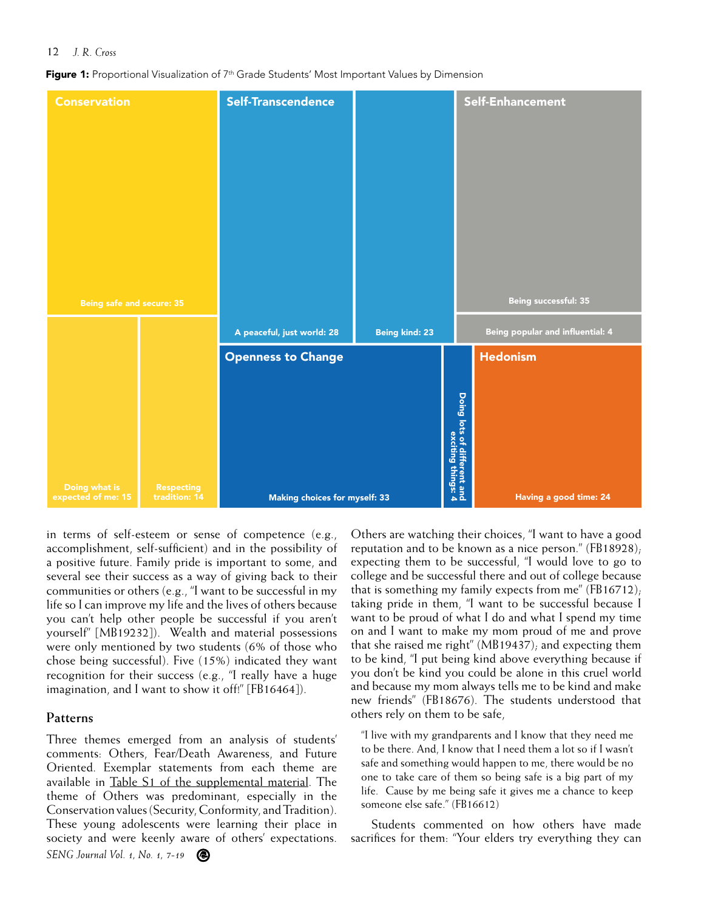Figure 1: Proportional Visualization of 7<sup>th</sup> Grade Students' Most Important Values by Dimension



in terms of self-esteem or sense of competence (e.g., accomplishment, self-sufficient) and in the possibility of a positive future. Family pride is important to some, and several see their success as a way of giving back to their communities or others (e.g., "I want to be successful in my life so I can improve my life and the lives of others because you can't help other people be successful if you aren't yourself" [MB19232]). Wealth and material possessions were only mentioned by two students (6% of those who chose being successful). Five (15%) indicated they want recognition for their success (e.g., "I really have a huge imagination, and I want to show it off!" [FB16464]).

#### **Patterns**

*SENG Journal Vol. 1, No. 1, 7-19* Three themes emerged from an analysis of students' comments: Others, Fear/Death Awareness, and Future Oriented. Exemplar statements from each theme are available in [Table S1 of the supplemental material](https://scholarworks.wm.edu/cgi/viewcontent.cgi?filename=0&article=1000&context=sengj&type=additional). The theme of Others was predominant, especially in the Conservation values (Security, Conformity, and Tradition). These young adolescents were learning their place in society and were keenly aware of others' expectations.

Others are watching their choices, "I want to have a good reputation and to be known as a nice person." (FB18928); expecting them to be successful, "I would love to go to college and be successful there and out of college because that is something my family expects from me" (FB16712); taking pride in them, "I want to be successful because I want to be proud of what I do and what I spend my time on and I want to make my mom proud of me and prove that she raised me right" (MB19437); and expecting them to be kind, "I put being kind above everything because if you don't be kind you could be alone in this cruel world and because my mom always tells me to be kind and make new friends" (FB18676). The students understood that others rely on them to be safe,

"I live with my grandparents and I know that they need me to be there. And, I know that I need them a lot so if I wasn't safe and something would happen to me, there would be no one to take care of them so being safe is a big part of my life. Cause by me being safe it gives me a chance to keep someone else safe." (FB16612)

Students commented on how others have made sacrifices for them: "Your elders try everything they can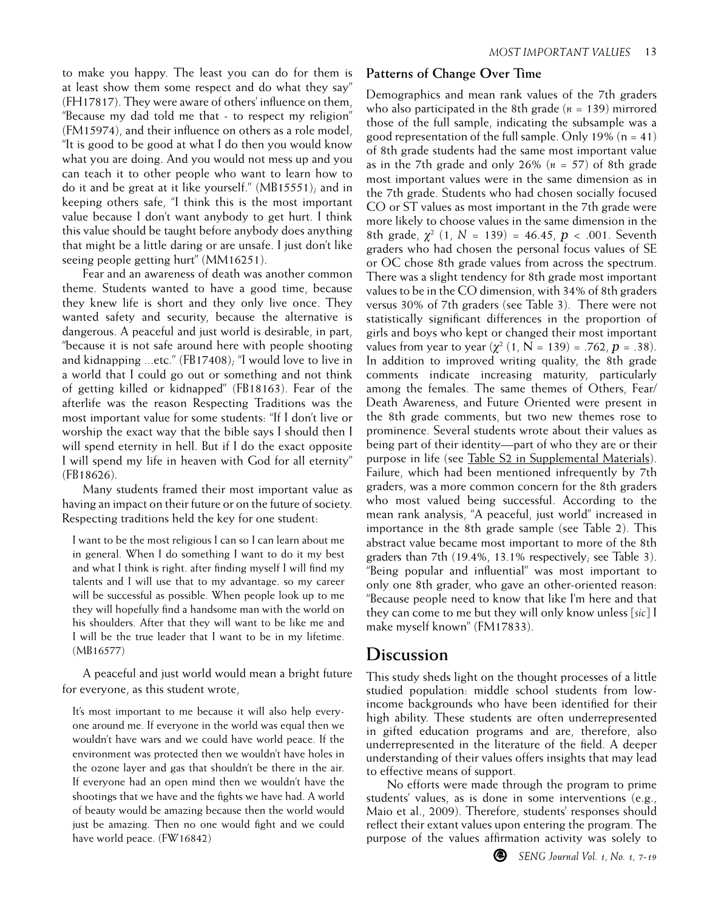to make you happy. The least you can do for them is at least show them some respect and do what they say" (FH17817). They were aware of others' influence on them, "Because my dad told me that - to respect my religion" (FM15974), and their influence on others as a role model, "It is good to be good at what I do then you would know what you are doing. And you would not mess up and you can teach it to other people who want to learn how to do it and be great at it like yourself." (MB15551); and in keeping others safe, "I think this is the most important value because I don't want anybody to get hurt. I think this value should be taught before anybody does anything that might be a little daring or are unsafe. I just don't like seeing people getting hurt" (MM16251).

Fear and an awareness of death was another common theme. Students wanted to have a good time, because they knew life is short and they only live once. They wanted safety and security, because the alternative is dangerous. A peaceful and just world is desirable, in part, "because it is not safe around here with people shooting and kidnapping ...etc." (FB17408); "I would love to live in a world that I could go out or something and not think of getting killed or kidnapped" (FB18163). Fear of the afterlife was the reason Respecting Traditions was the most important value for some students: "If I don't live or worship the exact way that the bible says I should then I will spend eternity in hell. But if I do the exact opposite I will spend my life in heaven with God for all eternity" (FB18626).

Many students framed their most important value as having an impact on their future or on the future of society. Respecting traditions held the key for one student:

I want to be the most religious I can so I can learn about me in general. When I do something I want to do it my best and what I think is right. after finding myself I will find my talents and I will use that to my advantage. so my career will be successful as possible. When people look up to me they will hopefully find a handsome man with the world on his shoulders. After that they will want to be like me and I will be the true leader that I want to be in my lifetime. (MB16577)

A peaceful and just world would mean a bright future for everyone, as this student wrote,

It's most important to me because it will also help everyone around me. If everyone in the world was equal then we wouldn't have wars and we could have world peace. If the environment was protected then we wouldn't have holes in the ozone layer and gas that shouldn't be there in the air. If everyone had an open mind then we wouldn't have the shootings that we have and the fights we have had. A world of beauty would be amazing because then the world would just be amazing. Then no one would fight and we could have world peace. (FW16842)

#### **Patterns of Change Over Time**

Demographics and mean rank values of the 7th graders who also participated in the 8th grade (*n* = 139) mirrored those of the full sample, indicating the subsample was a good representation of the full sample. Only 19% ( $n = 41$ ) of 8th grade students had the same most important value as in the 7th grade and only 26% (*n* = 57) of 8th grade most important values were in the same dimension as in the 7th grade. Students who had chosen socially focused CO or ST values as most important in the 7th grade were more likely to choose values in the same dimension in the 8th grade,  $\chi^2$  (1,  $N = 139$ ) = 46.45,  $p < .001$ . Seventh graders who had chosen the personal focus values of SE or OC chose 8th grade values from across the spectrum. There was a slight tendency for 8th grade most important values to be in the CO dimension, with 34% of 8th graders versus 30% of 7th graders (see Table 3). There were not statistically significant differences in the proportion of girls and boys who kept or changed their most important values from year to year  $(\chi^2 (1, N = 139) = .762, p = .38)$ . In addition to improved writing quality, the 8th grade comments indicate increasing maturity, particularly among the females. The same themes of Others, Fear/ Death Awareness, and Future Oriented were present in the 8th grade comments, but two new themes rose to prominence. Several students wrote about their values as being part of their identity—part of who they are or their purpose in life (see [Table S2 in Supplemental Materials](https://scholarworks.wm.edu/cgi/viewcontent.cgi?filename=0&article=1000&context=sengj&type=additional)). Failure, which had been mentioned infrequently by 7th graders, was a more common concern for the 8th graders who most valued being successful. According to the mean rank analysis, "A peaceful, just world" increased in importance in the 8th grade sample (see Table 2). This abstract value became most important to more of the 8th graders than 7th (19.4%, 13.1% respectively; see Table 3). "Being popular and influential" was most important to only one 8th grader, who gave an other-oriented reason: "Because people need to know that like I'm here and that they can come to me but they will only know unless [*sic*] I make myself known" (FM17833).

### **Discussion**

This study sheds light on the thought processes of a little studied population: middle school students from lowincome backgrounds who have been identified for their high ability. These students are often underrepresented in gifted education programs and are, therefore, also underrepresented in the literature of the field. A deeper understanding of their values offers insights that may lead to effective means of support.

No efforts were made through the program to prime students' values, as is done in some interventions (e.g., Maio et al., 2009). Therefore, students' responses should reflect their extant values upon entering the program. The purpose of the values affirmation activity was solely to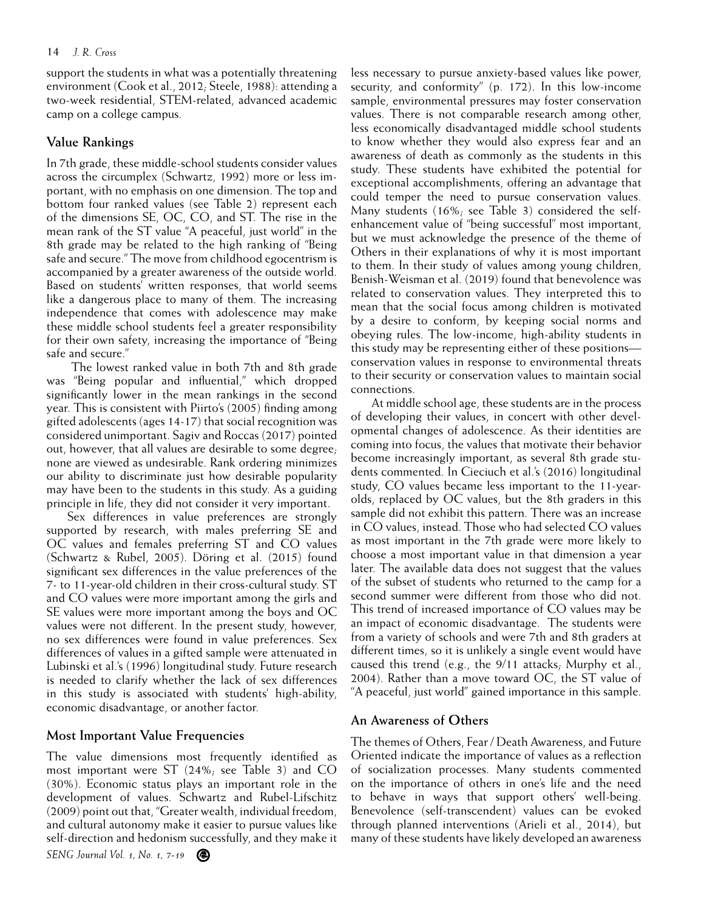support the students in what was a potentially threatening environment (Cook et al., 2012; Steele, 1988): attending a two-week residential, STEM-related, advanced academic camp on a college campus.

#### **Value Rankings**

In 7th grade, these middle-school students consider values across the circumplex (Schwartz, 1992) more or less important, with no emphasis on one dimension. The top and bottom four ranked values (see Table 2) represent each of the dimensions SE, OC, CO, and ST. The rise in the mean rank of the ST value "A peaceful, just world" in the 8th grade may be related to the high ranking of "Being safe and secure." The move from childhood egocentrism is accompanied by a greater awareness of the outside world. Based on students' written responses, that world seems like a dangerous place to many of them. The increasing independence that comes with adolescence may make these middle school students feel a greater responsibility for their own safety, increasing the importance of "Being safe and secure."

 The lowest ranked value in both 7th and 8th grade was "Being popular and influential," which dropped significantly lower in the mean rankings in the second year. This is consistent with Piirto's (2005) finding among gifted adolescents (ages 14-17) that social recognition was considered unimportant. Sagiv and Roccas (2017) pointed out, however, that all values are desirable to some degree; none are viewed as undesirable. Rank ordering minimizes our ability to discriminate just how desirable popularity may have been to the students in this study. As a guiding principle in life, they did not consider it very important.

Sex differences in value preferences are strongly supported by research, with males preferring SE and OC values and females preferring ST and CO values (Schwartz & Rubel, 2005). Döring et al. (2015) found significant sex differences in the value preferences of the 7- to 11-year-old children in their cross-cultural study. ST and CO values were more important among the girls and SE values were more important among the boys and OC values were not different. In the present study, however, no sex differences were found in value preferences. Sex differences of values in a gifted sample were attenuated in Lubinski et al.'s (1996) longitudinal study. Future research is needed to clarify whether the lack of sex differences in this study is associated with students' high-ability, economic disadvantage, or another factor.

#### **Most Important Value Frequencies**

The value dimensions most frequently identified as most important were ST (24%; see Table 3) and CO (30%). Economic status plays an important role in the development of values. Schwartz and Rubel-Lifschitz (2009) point out that, "Greater wealth, individual freedom, and cultural autonomy make it easier to pursue values like self-direction and hedonism successfully, and they make it

less necessary to pursue anxiety-based values like power, security, and conformity" (p. 172). In this low-income sample, environmental pressures may foster conservation values. There is not comparable research among other, less economically disadvantaged middle school students to know whether they would also express fear and an awareness of death as commonly as the students in this study. These students have exhibited the potential for exceptional accomplishments, offering an advantage that could temper the need to pursue conservation values. Many students (16%; see Table 3) considered the selfenhancement value of "being successful" most important, but we must acknowledge the presence of the theme of Others in their explanations of why it is most important to them. In their study of values among young children, Benish-Weisman et al. (2019) found that benevolence was related to conservation values. They interpreted this to mean that the social focus among children is motivated by a desire to conform, by keeping social norms and obeying rules. The low-income, high-ability students in this study may be representing either of these positions conservation values in response to environmental threats to their security or conservation values to maintain social connections.

At middle school age, these students are in the process of developing their values, in concert with other developmental changes of adolescence. As their identities are coming into focus, the values that motivate their behavior become increasingly important, as several 8th grade students commented. In Cieciuch et al.'s (2016) longitudinal study, CO values became less important to the 11-yearolds, replaced by OC values, but the 8th graders in this sample did not exhibit this pattern. There was an increase in CO values, instead. Those who had selected CO values as most important in the 7th grade were more likely to choose a most important value in that dimension a year later. The available data does not suggest that the values of the subset of students who returned to the camp for a second summer were different from those who did not. This trend of increased importance of CO values may be an impact of economic disadvantage. The students were from a variety of schools and were 7th and 8th graders at different times, so it is unlikely a single event would have caused this trend (e.g., the 9/11 attacks; Murphy et al., 2004). Rather than a move toward OC, the ST value of "A peaceful, just world" gained importance in this sample.

#### **An Awareness of Others**

The themes of Others, Fear / Death Awareness, and Future Oriented indicate the importance of values as a reflection of socialization processes. Many students commented on the importance of others in one's life and the need to behave in ways that support others' well-being. Benevolence (self-transcendent) values can be evoked through planned interventions (Arieli et al., 2014), but many of these students have likely developed an awareness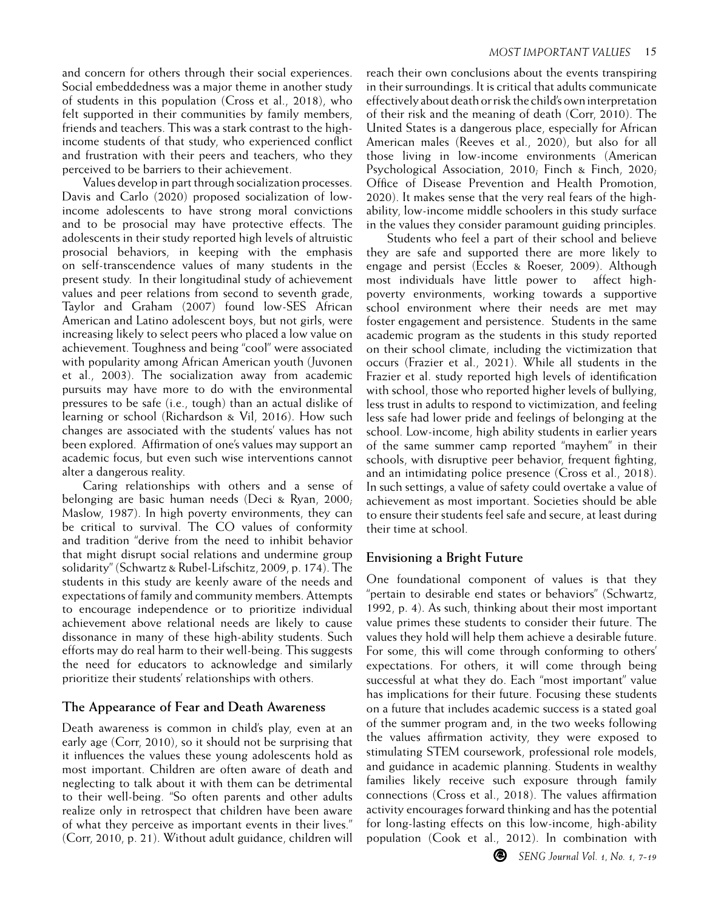and concern for others through their social experiences. Social embeddedness was a major theme in another study of students in this population (Cross et al., 2018), who felt supported in their communities by family members, friends and teachers. This was a stark contrast to the highincome students of that study, who experienced conflict and frustration with their peers and teachers, who they perceived to be barriers to their achievement.

Values develop in part through socialization processes. Davis and Carlo (2020) proposed socialization of lowincome adolescents to have strong moral convictions and to be prosocial may have protective effects. The adolescents in their study reported high levels of altruistic prosocial behaviors, in keeping with the emphasis on self-transcendence values of many students in the present study. In their longitudinal study of achievement values and peer relations from second to seventh grade, Taylor and Graham (2007) found low-SES African American and Latino adolescent boys, but not girls, were increasing likely to select peers who placed a low value on achievement. Toughness and being "cool" were associated with popularity among African American youth (Juvonen et al., 2003). The socialization away from academic pursuits may have more to do with the environmental pressures to be safe (i.e., tough) than an actual dislike of learning or school (Richardson & Vil, 2016). How such changes are associated with the students' values has not been explored. Affirmation of one's values may support an academic focus, but even such wise interventions cannot alter a dangerous reality.

Caring relationships with others and a sense of belonging are basic human needs (Deci & Ryan, 2000; Maslow, 1987). In high poverty environments, they can be critical to survival. The CO values of conformity and tradition "derive from the need to inhibit behavior that might disrupt social relations and undermine group solidarity" (Schwartz & Rubel-Lifschitz, 2009, p. 174). The students in this study are keenly aware of the needs and expectations of family and community members. Attempts to encourage independence or to prioritize individual achievement above relational needs are likely to cause dissonance in many of these high-ability students. Such efforts may do real harm to their well-being. This suggests the need for educators to acknowledge and similarly prioritize their students' relationships with others.

### **The Appearance of Fear and Death Awareness**

Death awareness is common in child's play, even at an early age (Corr, 2010), so it should not be surprising that it influences the values these young adolescents hold as most important. Children are often aware of death and neglecting to talk about it with them can be detrimental to their well-being. "So often parents and other adults realize only in retrospect that children have been aware of what they perceive as important events in their lives." (Corr, 2010, p. 21). Without adult guidance, children will reach their own conclusions about the events transpiring in their surroundings. It is critical that adults communicate effectively about death or risk the child's own interpretation of their risk and the meaning of death (Corr, 2010). The United States is a dangerous place, especially for African American males (Reeves et al., 2020), but also for all those living in low-income environments (American Psychological Association, 2010; Finch & Finch, 2020; Office of Disease Prevention and Health Promotion, 2020). It makes sense that the very real fears of the highability, low-income middle schoolers in this study surface in the values they consider paramount guiding principles.

Students who feel a part of their school and believe they are safe and supported there are more likely to engage and persist (Eccles & Roeser, 2009). Although most individuals have little power to affect highpoverty environments, working towards a supportive school environment where their needs are met may foster engagement and persistence. Students in the same academic program as the students in this study reported on their school climate, including the victimization that occurs (Frazier et al., 2021). While all students in the Frazier et al. study reported high levels of identification with school, those who reported higher levels of bullying, less trust in adults to respond to victimization, and feeling less safe had lower pride and feelings of belonging at the school. Low-income, high ability students in earlier years of the same summer camp reported "mayhem" in their schools, with disruptive peer behavior, frequent fighting, and an intimidating police presence (Cross et al., 2018). In such settings, a value of safety could overtake a value of achievement as most important. Societies should be able to ensure their students feel safe and secure, at least during their time at school.

### **Envisioning a Bright Future**

One foundational component of values is that they "pertain to desirable end states or behaviors" (Schwartz, 1992, p. 4). As such, thinking about their most important value primes these students to consider their future. The values they hold will help them achieve a desirable future. For some, this will come through conforming to others' expectations. For others, it will come through being successful at what they do. Each "most important" value has implications for their future. Focusing these students on a future that includes academic success is a stated goal of the summer program and, in the two weeks following the values affirmation activity, they were exposed to stimulating STEM coursework, professional role models, and guidance in academic planning. Students in wealthy families likely receive such exposure through family connections (Cross et al., 2018). The values affirmation activity encourages forward thinking and has the potential for long-lasting effects on this low-income, high-ability population (Cook et al., 2012). In combination with

◉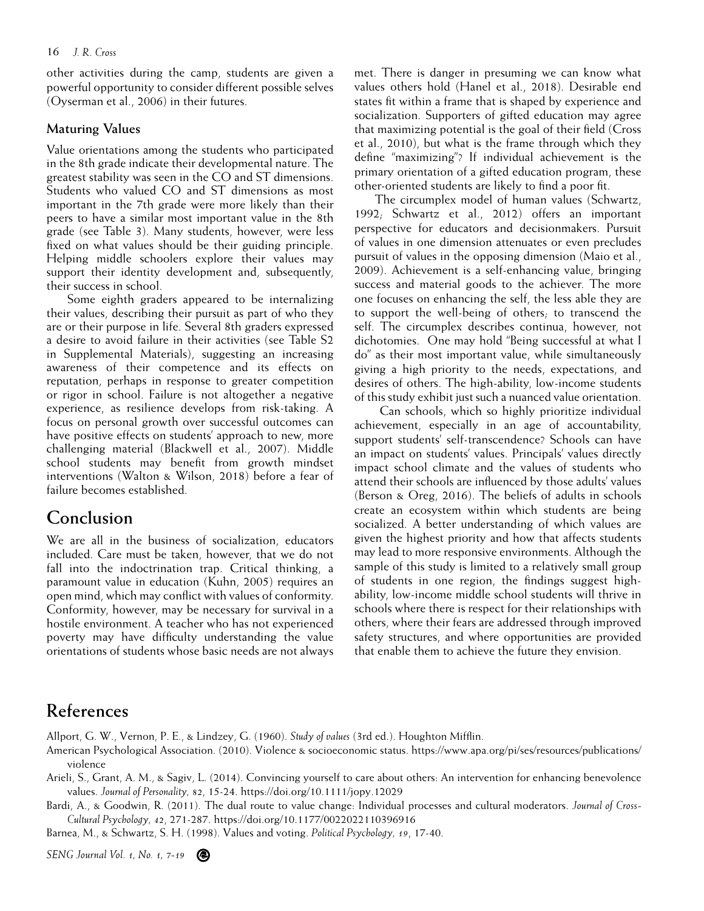other activities during the camp, students are given a powerful opportunity to consider different possible selves (Oyserman et al., 2006) in their futures.

#### **Maturing Values**

Value orientations among the students who participated in the 8th grade indicate their developmental nature. The greatest stability was seen in the CO and ST dimensions. Students who valued CO and ST dimensions as most important in the 7th grade were more likely than their peers to have a similar most important value in the 8th grade (see Table 3). Many students, however, were less fixed on what values should be their guiding principle. Helping middle schoolers explore their values may support their identity development and, subsequently, their success in school.

Some eighth graders appeared to be internalizing their values, describing their pursuit as part of who they are or their purpose in life. Several 8th graders expressed a desire to avoid failure in their activities (see Table S2 in Supplemental Materials), suggesting an increasing awareness of their competence and its effects on reputation, perhaps in response to greater competition or rigor in school. Failure is not altogether a negative experience, as resilience develops from risk-taking. A focus on personal growth over successful outcomes can have positive effects on students' approach to new, more challenging material (Blackwell et al., 2007). Middle school students may benefit from growth mindset interventions (Walton & Wilson, 2018) before a fear of failure becomes established.

### **Conclusion**

We are all in the business of socialization, educators included. Care must be taken, however, that we do not fall into the indoctrination trap. Critical thinking, a paramount value in education (Kuhn, 2005) requires an open mind, which may conflict with values of conformity. Conformity, however, may be necessary for survival in a hostile environment. A teacher who has not experienced poverty may have difficulty understanding the value orientations of students whose basic needs are not always met. There is danger in presuming we can know what values others hold (Hanel et al., 2018). Desirable end states fit within a frame that is shaped by experience and socialization. Supporters of gifted education may agree that maximizing potential is the goal of their field (Cross et al., 2010), but what is the frame through which they define "maximizing"? If individual achievement is the primary orientation of a gifted education program, these other-oriented students are likely to find a poor fit.

The circumplex model of human values (Schwartz, 1992; Schwartz et al., 2012) offers an important perspective for educators and decisionmakers. Pursuit of values in one dimension attenuates or even precludes pursuit of values in the opposing dimension (Maio et al., 2009). Achievement is a self-enhancing value, bringing success and material goods to the achiever. The more one focuses on enhancing the self, the less able they are to support the well-being of others; to transcend the self. The circumplex describes continua, however, not dichotomies. One may hold "Being successful at what I do" as their most important value, while simultaneously giving a high priority to the needs, expectations, and desires of others. The high-ability, low-income students of this study exhibit just such a nuanced value orientation.

 Can schools, which so highly prioritize individual achievement, especially in an age of accountability, support students' self-transcendence? Schools can have an impact on students' values. Principals' values directly impact school climate and the values of students who attend their schools are influenced by those adults' values (Berson & Oreg, 2016). The beliefs of adults in schools create an ecosystem within which students are being socialized. A better understanding of which values are given the highest priority and how that affects students may lead to more responsive environments. Although the sample of this study is limited to a relatively small group of students in one region, the findings suggest highability, low-income middle school students will thrive in schools where there is respect for their relationships with others, where their fears are addressed through improved safety structures, and where opportunities are provided that enable them to achieve the future they envision.

## **References**

Allport, G. W., Vernon, P. E., & Lindzey, G. (1960). *Study of values* (3rd ed.). Houghton Mifflin.

- American Psychological Association. (2010). Violence & socioeconomic status. https://www.apa.org/pi/ses/resources/publications/ violence
- Arieli, S., Grant, A. M., & Sagiv, L. (2014). Convincing yourself to care about others: An intervention for enhancing benevolence values. *Journal of Personality, 82*, 15-24. https://doi.org/10.1111/jopy.12029

Bardi, A., & Goodwin, R. (2011). The dual route to value change: Individual processes and cultural moderators. *Journal of Cross-Cultural Psychology, 42*, 271-287. https://doi.org/10.1177/0022022110396916

Barnea, M., & Schwartz, S. H. (1998). Values and voting. *Political Psychology, 19*, 17-40.

*SENG Journal Vol. 1, No. 1, 7-19*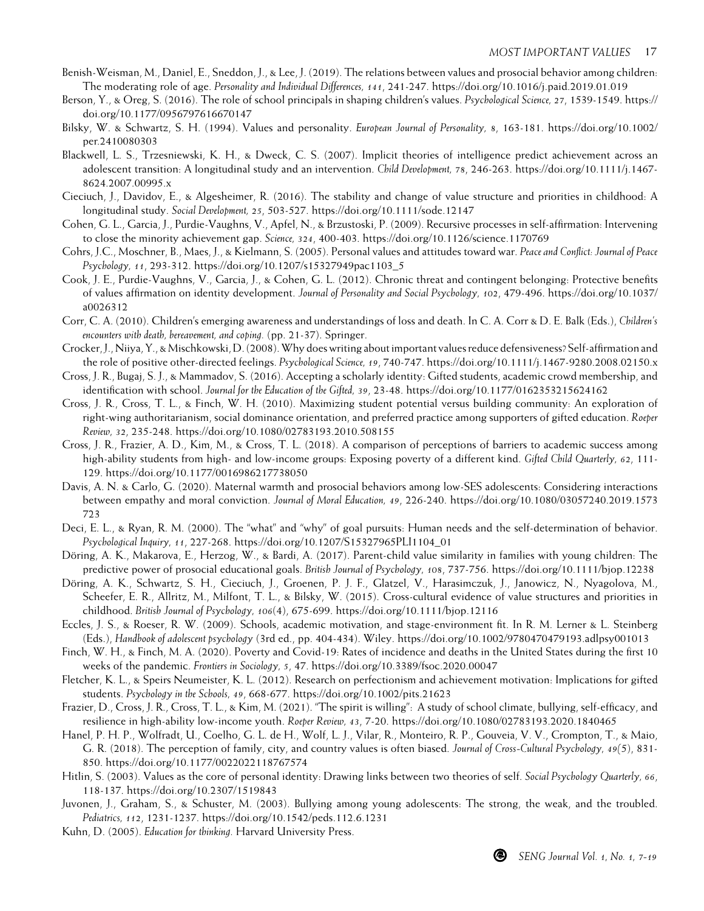- Benish-Weisman, M., Daniel, E., Sneddon, J., & Lee, J. (2019). The relations between values and prosocial behavior among children: The moderating role of age. *Personality and Individual Differences, 141*, 241-247. https://doi.org/10.1016/j.paid.2019.01.019
- Berson, Y., & Oreg, S. (2016). The role of school principals in shaping children's values. *Psychological Science, 27*, 1539-1549. https:// doi.org/10.1177/0956797616670147
- Bilsky, W. & Schwartz, S. H. (1994). Values and personality. *European Journal of Personality, 8*, 163-181. https://doi.org/10.1002/ per.2410080303
- Blackwell, L. S., Trzesniewski, K. H., & Dweck, C. S. (2007). Implicit theories of intelligence predict achievement across an adolescent transition: A longitudinal study and an intervention. *Child Development, 78*, 246-263. https://doi.org/10.1111/j.1467- 8624.2007.00995.x
- Cieciuch, J., Davidov, E., & Algesheimer, R. (2016). The stability and change of value structure and priorities in childhood: A longitudinal study. *Social Development, 25*, 503-527. https://doi.org/10.1111/sode.12147
- Cohen, G. L., Garcia, J., Purdie-Vaughns, V., Apfel, N., & Brzustoski, P. (2009). Recursive processes in self-affirmation: Intervening to close the minority achievement gap. *Science, 324*, 400-403. https://doi.org/10.1126/science.1170769
- Cohrs, J.C., Moschner, B., Maes, J., & Kielmann, S. (2005). Personal values and attitudes toward war. *Peace and Conflict: Journal of Peace Psychology, 11*, 293-312. https://doi.org/10.1207/s15327949pac1103\_5
- Cook, J. E., Purdie-Vaughns, V., Garcia, J., & Cohen, G. L. (2012). Chronic threat and contingent belonging: Protective benefits of values affirmation on identity development. *Journal of Personality and Social Psychology, 102*, 479-496. https://doi.org/10.1037/ a0026312
- Corr, C. A. (2010). Children's emerging awareness and understandings of loss and death. In C. A. Corr & D. E. Balk (Eds.), *Children's encounters with death, bereavement, and coping.* (pp. 21-37). Springer.
- Crocker, J., Niiya, Y., & Mischkowski, D. (2008). Why does writing about important values reduce defensiveness? Self-affirmation and the role of positive other-directed feelings. *Psychological Science, 19*, 740-747. https://doi.org/10.1111/j.1467-9280.2008.02150.x
- Cross, J. R., Bugaj, S. J., & Mammadov, S. (2016). Accepting a scholarly identity: Gifted students, academic crowd membership, and identification with school. *Journal for the Education of the Gifted, 39*, 23-48. https://doi.org/10.1177/0162353215624162
- Cross, J. R., Cross, T. L., & Finch, W. H. (2010). Maximizing student potential versus building community: An exploration of right-wing authoritarianism, social dominance orientation, and preferred practice among supporters of gifted education. *Roeper Review, 32*, 235-248. https://doi.org/10.1080/02783193.2010.508155
- Cross, J. R., Frazier, A. D., Kim, M., & Cross, T. L. (2018). A comparison of perceptions of barriers to academic success among high-ability students from high- and low-income groups: Exposing poverty of a different kind. *Gifted Child Quarterly, 62*, 111- 129. https://doi.org/10.1177/0016986217738050
- Davis, A. N. & Carlo, G. (2020). Maternal warmth and prosocial behaviors among low-SES adolescents: Considering interactions between empathy and moral conviction. *Journal of Moral Education, 49*, 226-240. https://doi.org/10.1080/03057240.2019.1573 723
- Deci, E. L., & Ryan, R. M. (2000). The "what" and "why" of goal pursuits: Human needs and the self-determination of behavior. *Psychological Inquiry, 11*, 227-268. https://doi.org/10.1207/S15327965PLI1104\_01
- Döring, A. K., Makarova, E., Herzog, W., & Bardi, A. (2017). Parent-child value similarity in families with young children: The predictive power of prosocial educational goals. *British Journal of Psychology, 108*, 737-756. https://doi.org/10.1111/bjop.12238
- Döring, A. K., Schwartz, S. H., Cieciuch, J., Groenen, P. J. F., Glatzel, V., Harasimczuk, J., Janowicz, N., Nyagolova, M., Scheefer, E. R., Allritz, M., Milfont, T. L., & Bilsky, W. (2015). Cross-cultural evidence of value structures and priorities in childhood. *British Journal of Psychology, 106*(4), 675-699. https://doi.org/10.1111/bjop.12116
- Eccles, J. S., & Roeser, R. W. (2009). Schools, academic motivation, and stage-environment fit. In R. M. Lerner & L. Steinberg (Eds.), *Handbook of adolescent psychology* (3rd ed., pp. 404-434). Wiley. https://doi.org/10.1002/9780470479193.adlpsy001013
- Finch, W. H., & Finch, M. A. (2020). Poverty and Covid-19: Rates of incidence and deaths in the United States during the first 10 weeks of the pandemic. *Frontiers in Sociology, 5*, 47. https://doi.org/10.3389/fsoc.2020.00047
- Fletcher, K. L., & Speirs Neumeister, K. L. (2012). Research on perfectionism and achievement motivation: Implications for gifted students. *Psychology in the Schools, 49*, 668-677. https://doi.org/10.1002/pits.21623
- Frazier, D., Cross, J. R., Cross, T. L., & Kim, M. (2021). "The spirit is willing": A study of school climate, bullying, self-efficacy, and resilience in high-ability low-income youth. *Roeper Review, 43*, 7-20. https://doi.org/10.1080/02783193.2020.1840465
- Hanel, P. H. P., Wolfradt, U., Coelho, G. L. de H., Wolf, L. J., Vilar, R., Monteiro, R. P., Gouveia, V. V., Crompton, T., & Maio, G. R. (2018). The perception of family, city, and country values is often biased. *Journal of Cross-Cultural Psychology, 49(*5), 831- 850. https://doi.org/10.1177/0022022118767574
- Hitlin, S. (2003). Values as the core of personal identity: Drawing links between two theories of self. *Social Psychology Quarterly, 66*, 118-137. https://doi.org/10.2307/1519843
- Juvonen, J., Graham, S., & Schuster, M. (2003). Bullying among young adolescents: The strong, the weak, and the troubled. *Pediatrics, 112*, 1231-1237. https://doi.org/10.1542/peds.112.6.1231
- Kuhn, D. (2005). *Education for thinking.* Harvard University Press.

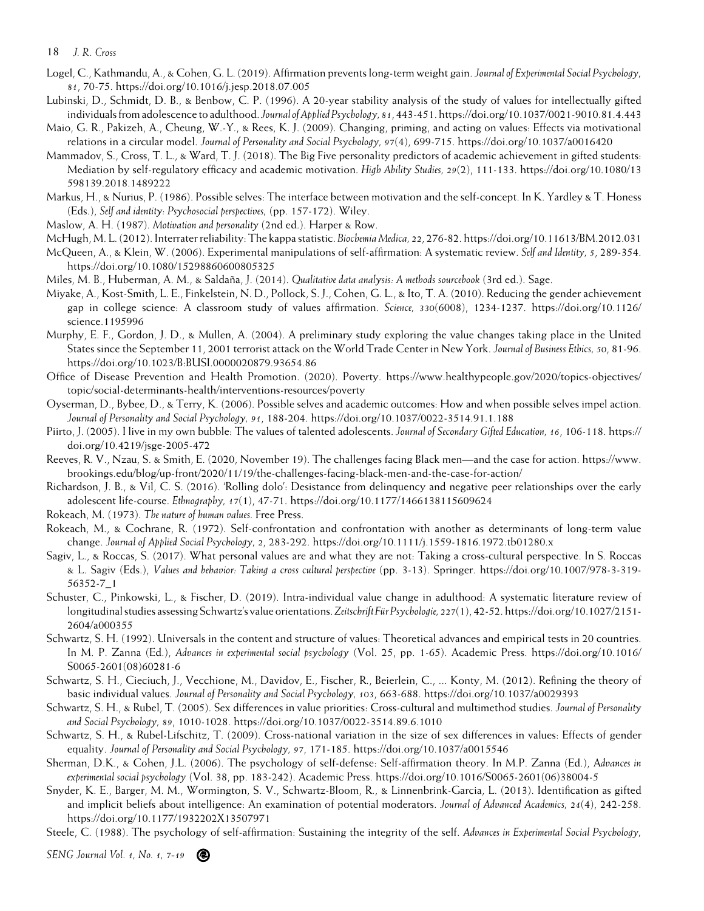- Logel, C., Kathmandu, A., & Cohen, G. L. (2019). Affirmation prevents long-term weight gain. *Journal of Experimental Social Psychology, 81*, 70-75. https://doi.org/10.1016/j.jesp.2018.07.005
- Lubinski, D., Schmidt, D. B., & Benbow, C. P. (1996). A 20-year stability analysis of the study of values for intellectually gifted individuals from adolescence to adulthood. *Journal of Applied Psychology, 81*, 443-451. https://doi.org/10.1037/0021-9010.81.4.443
- Maio, G. R., Pakizeh, A., Cheung, W.-Y., & Rees, K. J. (2009). Changing, priming, and acting on values: Effects via motivational relations in a circular model. *Journal of Personality and Social Psychology, 97*(4), 699-715. https://doi.org/10.1037/a0016420
- Mammadov, S., Cross, T. L., & Ward, T. J. (2018). The Big Five personality predictors of academic achievement in gifted students: Mediation by self-regulatory efficacy and academic motivation. *High Ability Studies, 29*(2), 111-133. https://doi.org/10.1080/13 598139.2018.1489222
- Markus, H., & Nurius, P. (1986). Possible selves: The interface between motivation and the self-concept. In K. Yardley & T. Honess (Eds.), *Self and identity: Psychosocial perspectives,* (pp. 157-172). Wiley.
- Maslow, A. H. (1987). *Motivation and personality* (2nd ed.). Harper & Row.
- McHugh, M. L. (2012). Interrater reliability: The kappa statistic. *Biochemia Medica, 22*, 276-82. https://doi.org/10.11613/BM.2012.031
- McQueen, A., & Klein, W. (2006). Experimental manipulations of self-affirmation: A systematic review. *Self and Identity, 5*, 289-354. https://doi.org/10.1080/15298860600805325
- Miles, M. B., Huberman, A. M., & Saldaña, J. (2014). *Qualitative data analysis: A methods sourcebook* (3rd ed.). Sage.
- Miyake, A., Kost-Smith, L. E., Finkelstein, N. D., Pollock, S. J., Cohen, G. L., & Ito, T. A. (2010). Reducing the gender achievement gap in college science: A classroom study of values affirmation. *Science, 330*(6008), 1234-1237. https://doi.org/10.1126/ science.1195996
- Murphy, E. F., Gordon, J. D., & Mullen, A. (2004). A preliminary study exploring the value changes taking place in the United States since the September 11, 2001 terrorist attack on the World Trade Center in New York. *Journal of Business Ethics, 50*, 81-96. https://doi.org/10.1023/B:BUSI.0000020879.93654.86
- Office of Disease Prevention and Health Promotion. (2020). Poverty. https://www.healthypeople.gov/2020/topics-objectives/ topic/social-determinants-health/interventions-resources/poverty
- Oyserman, D., Bybee, D., & Terry, K. (2006). Possible selves and academic outcomes: How and when possible selves impel action. *Journal of Personality and Social Psychology, 91*, 188-204. https://doi.org/10.1037/0022-3514.91.1.188
- Piirto, J. (2005). I live in my own bubble: The values of talented adolescents. *Journal of Secondary Gifted Education, 16*, 106-118. https:// doi.org/10.4219/jsge-2005-472
- Reeves, R. V., Nzau, S. & Smith, E. (2020, November 19). The challenges facing Black men—and the case for action. https://www. brookings.edu/blog/up-front/2020/11/19/the-challenges-facing-black-men-and-the-case-for-action/
- Richardson, J. B., & Vil, C. S. (2016). 'Rolling dolo': Desistance from delinquency and negative peer relationships over the early adolescent life-course. *Ethnography, 17*(1), 47-71. https://doi.org/10.1177/1466138115609624
- Rokeach, M. (1973). *The nature of human values.* Free Press.
- Rokeach, M., & Cochrane, R. (1972). Self-confrontation and confrontation with another as determinants of long-term value change. *Journal of Applied Social Psychology, 2*, 283-292. https://doi.org/10.1111/j.1559-1816.1972.tb01280.x
- Sagiv, L., & Roccas, S. (2017). What personal values are and what they are not: Taking a cross-cultural perspective. In S. Roccas & L. Sagiv (Eds.), *Values and behavior: Taking a cross cultural perspective* (pp. 3-13). Springer. https://doi.org/10.1007/978-3-319- 56352-7\_1
- Schuster, C., Pinkowski, L., & Fischer, D. (2019). Intra-individual value change in adulthood: A systematic literature review of longitudinal studies assessing Schwartz's value orientations. *Zeitschrift Für Psychologie, 227*(1), 42-52. https://doi.org/10.1027/2151- 2604/a000355
- Schwartz, S. H. (1992). Universals in the content and structure of values: Theoretical advances and empirical tests in 20 countries. In M. P. Zanna (Ed.), *Advances in experimental social psychology* (Vol. 25, pp. 1-65). Academic Press. https://doi.org/10.1016/ S0065-2601(08)60281-6
- Schwartz, S. H., Cieciuch, J., Vecchione, M., Davidov, E., Fischer, R., Beierlein, C., ... Konty, M. (2012). Refining the theory of basic individual values. *Journal of Personality and Social Psychology, 103*, 663-688. https://doi.org/10.1037/a0029393
- Schwartz, S. H., & Rubel, T. (2005). Sex differences in value priorities: Cross-cultural and multimethod studies. *Journal of Personality and Social Psychology, 89*, 1010-1028. https://doi.org/10.1037/0022-3514.89.6.1010
- Schwartz, S. H., & Rubel-Lifschitz, T. (2009). Cross-national variation in the size of sex differences in values: Effects of gender equality. *Journal of Personality and Social Psychology, 97*, 171-185. https://doi.org/10.1037/a0015546
- Sherman, D.K., & Cohen, J.L. (2006). The psychology of self-defense: Self-affirmation theory. In M.P. Zanna (Ed.), A*dvances in experimental social psychology* (Vol. 38, pp. 183-242). Academic Press. https://doi.org/10.1016/S0065-2601(06)38004-5
- Snyder, K. E., Barger, M. M., Wormington, S. V., Schwartz-Bloom, R., & Linnenbrink-Garcia, L. (2013). Identification as gifted and implicit beliefs about intelligence: An examination of potential moderators. *Journal of Advanced Academics, 24*(4), 242-258. https://doi.org/10.1177/1932202X13507971
- Steele, C. (1988). The psychology of self-affirmation: Sustaining the integrity of the self. *Advances in Experimental Social Psychology,*

*SENG Journal Vol. 1, No. 1, 7-19*